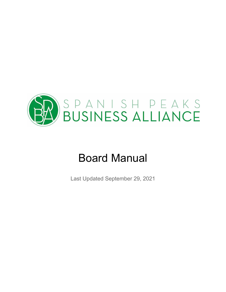

# Board Manual

Last Updated September 29, 2021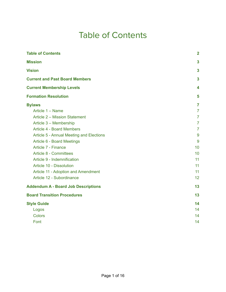## Table of Contents

<span id="page-1-0"></span>

| <b>Table of Contents</b>                        | $\overline{2}$ |
|-------------------------------------------------|----------------|
| <b>Mission</b>                                  | 3              |
| <b>Vision</b>                                   | $\mathbf{3}$   |
| <b>Current and Past Board Members</b>           | 3              |
| <b>Current Membership Levels</b>                | 4              |
| <b>Formation Resolution</b>                     | 5              |
| <b>Bylaws</b>                                   | $\overline{7}$ |
| Article 1 - Name                                | $\overline{7}$ |
| Article 2 - Mission Statement                   | $\overline{7}$ |
| Article 3 - Membership                          | $\overline{7}$ |
| <b>Article 4 - Board Members</b>                | $\overline{7}$ |
| <b>Article 5 - Annual Meeting and Elections</b> | 9              |
| <b>Article 6 - Board Meetings</b>               | 9              |
| Article 7 - Finance                             | 10             |
| <b>Article 8 - Committees</b>                   | 10             |
| Article 9 - Indemnification                     | 11             |
| Article 10 - Dissolution                        | 11             |
| Article 11 - Adoption and Amendment             | 11             |
| Article 12 - Subordinance                       | 12             |
| <b>Addendum A - Board Job Descriptions</b>      | 13             |
| <b>Board Transition Procedures</b>              | 13             |
| <b>Style Guide</b>                              | 14             |
| Logos                                           | 14             |
| <b>Colors</b>                                   | 14             |
| Font                                            | 14             |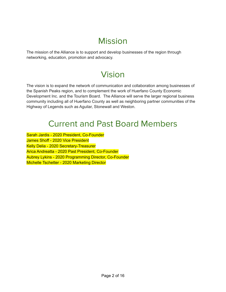## Mission

<span id="page-2-1"></span><span id="page-2-0"></span>The mission of the Alliance is to support and develop businesses of the region through networking, education, promotion and advocacy.

# Vision

The vision is to expand the network of communication and collaboration among businesses of the Spanish Peaks region, and to complement the work of Huerfano County Economic Development Inc. and the Tourism Board. The Alliance will serve the larger regional business community including all of Huerfano County as well as neighboring partner communities of the Highway of Legends such as Aguilar, Stonewall and Weston.

## Current and Past Board Members

<span id="page-2-2"></span>Sarah Jardis - 2020 President, Co-Founder James Shoff - 2020 Vice President Kelly Delia - 2020 Secretary-Treasurer Arica Andreatta - 2020 Past President, Co-Founder Aubrey Lykins - 2020 Programming Director, Co-Founder Michelle Tschetter - 2020 Marketing Director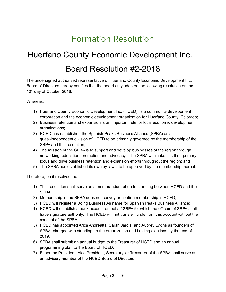# Formation Resolution

# <span id="page-3-0"></span>Huerfano County Economic Development Inc. Board Resolution #2-2018

The undersigned authorized representative of Huerfano County Economic Development Inc. Board of Directors hereby certifies that the board duly adopted the following resolution on the 10<sup>th</sup> day of October 2018.

Whereas:

- 1) Huerfano County Economic Development Inc. (HCED), is a community development corporation and the economic development organization for Huerfano County, Colorado;
- 2) Business retention and expansion is an important role for local economic development organizations;
- 3) HCED has established the Spanish Peaks Business Alliance (SPBA) as a quasi-independent division of HCED to be primarily governed by the membership of the SBPA and this resolution;
- 4) The mission of the SPBA is to support and develop businesses of the region through networking, education, promotion and advocacy. The SPBA will make this their primary focus and drive business retention and expansion efforts throughout the region; and
- 5) The SPBA has established its own by-laws, to be approved by the membership thereof.

Therefore, be it resolved that:

- 1) This resolution shall serve as a memorandum of understanding between HCED and the SPBA;
- 2) Membership in the SPBA does not convey or confirm membership in HCED;
- 3) HCED will register a Doing Business As name for Spanish Peaks Business Alliance;
- 4) HCED will establish a bank account on behalf SBPA for which the officers of SBPA shall have signature authority. The HCED will not transfer funds from this account without the consent of the SPBA;
- 5) HCED has appointed Arica Andreatta, Sarah Jardis, and Aubrey Lykins as founders of SPBA, charged with standing up the organization and holding elections by the end of 2019;
- 6) SPBA shall submit an annual budget to the Treasurer of HCED and an annual programming plan to the Board of HCED;
- 7) Either the President, Vice President, Secretary, or Treasurer of the SPBA shall serve as an advisory member of the HCED Board of Directors;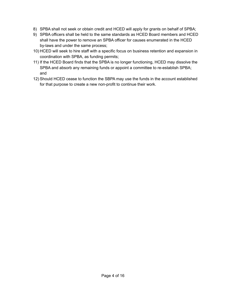- 8) SPBA shall not seek or obtain credit and HCED will apply for grants on behalf of SPBA;
- 9) SPBA officers shall be held to the same standards as HCED Board members and HCED shall have the power to remove an SPBA officer for causes enumerated in the HCED by-laws and under the same process;
- 10) HCED will seek to hire staff with a specific focus on business retention and expansion in coordination with SPBA, as funding permits;
- 11) If the HCED Board finds that the SPBA is no longer functioning, HCED may dissolve the SPBA and absorb any remaining funds or appoint a committee to re-establish SPBA; and
- 12) Should HCED cease to function the SBPA may use the funds in the account established for that purpose to create a new non-profit to continue their work.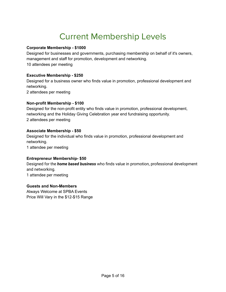# Current Membership Levels

#### <span id="page-5-0"></span>**Corporate Membership - \$1000**

Designed for businesses and governments, purchasing membership on behalf of it's owners, management and staff for promotion, development and networking. 10 attendees per meeting

#### **Executive Membership - \$250**

Designed for a business owner who finds value in promotion, professional development and networking. 2 attendees per meeting

#### **Non-profit Membership - \$100**

Designed for the non-profit entity who finds value in promotion, professional development, networking and the Holiday Giving Celebration year end fundraising opportunity. 2 attendees per meeting

#### **Associate Membership - \$50**

Designed for the individual who finds value in promotion, professional development and networking.

1 attendee per meeting

#### **Entrepreneur Membership- \$50**

Designed for the *home based business* who finds value in promotion, professional development and networking.

1 attendee per meeting

#### **Guests and Non-Members**

Always Welcome at SPBA Events Price Will Vary in the \$12-\$15 Range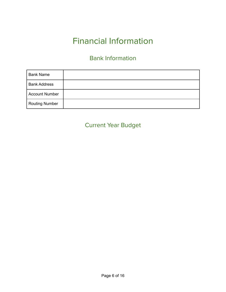# Financial Information

## Bank Information

| <b>Bank Name</b>      |  |
|-----------------------|--|
| <b>Bank Address</b>   |  |
| <b>Account Number</b> |  |
| <b>Routing Number</b> |  |

## Current Year Budget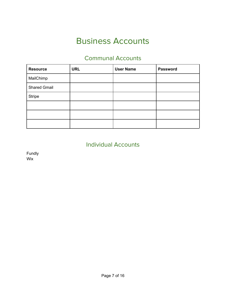# Business Accounts

## Communal Accounts

| <b>Resource</b>     | <b>URL</b> | <b>User Name</b> | <b>Password</b> |
|---------------------|------------|------------------|-----------------|
| MailChimp           |            |                  |                 |
| <b>Shared Gmail</b> |            |                  |                 |
| <b>Stripe</b>       |            |                  |                 |
|                     |            |                  |                 |
|                     |            |                  |                 |
|                     |            |                  |                 |

## Individual Accounts

Fundly Wix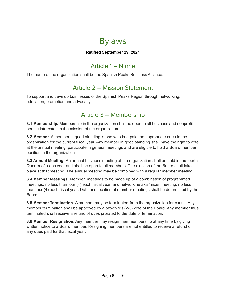

#### **Ratified September 29, 2021**

### Article 1 – Name

<span id="page-8-1"></span><span id="page-8-0"></span>The name of the organization shall be the Spanish Peaks Business Alliance.

### Article 2 – Mission Statement

<span id="page-8-2"></span>To support and develop businesses of the Spanish Peaks Region through networking, education, promotion and advocacy.

### Article 3 – Membership

**3.1 Membership.** Membership in the organization shall be open to all business and nonprofit people interested in the mission of the organization.

**3.2 Member.** A member in good standing is one who has paid the appropriate dues to the organization for the current fiscal year. Any member in good standing shall have the right to vote at the annual meeting, participate in general meetings and are eligible to hold a Board member position in the organization

**3.3 Annual Meeting.** An annual business meeting of the organization shall be held in the fourth Quarter of each year and shall be open to all members. The election of the Board shall take place at that meeting. The annual meeting may be combined with a regular member meeting.

**3.4 Member Meetings.** Member meetings to be made up of a combination of programmed meetings, no less than four (4) each fiscal year, and networking aka 'mixer' meeting, no less than four (4) each fiscal year. Date and location of member meetings shall be determined by the Board.

**3.5 Member Termination.** A member may be terminated from the organization for cause. Any member termination shall be approved by a two-thirds (2/3) vote of the Board. Any member thus terminated shall receive a refund of dues prorated to the date of termination.

**3.6 Member Resignation**. Any member may resign their membership at any time by giving written notice to a Board member. Resigning members are not entitled to receive a refund of any dues paid for that fiscal year.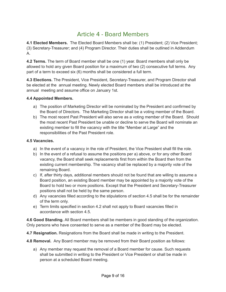### Article 4 - Board Members

<span id="page-9-0"></span>**4.1 Elected Members.** The Elected Board Members shall be: (1) President; (2) Vice President; (3) Secretary-Treasurer; and (4) Program Director. Their duties shall be outlined in Addendum A.

**4.2 Terms.** The term of Board member shall be one (1) year. Board members shall only be allowed to hold any given Board position for a maximum of two (2) consecutive full terms. Any part of a term to exceed six (6) months shall be considered a full term.

**4.3 Elections.** The President, Vice President, Secretary-Treasurer, and Program Director shall be elected at the annual meeting. Newly elected Board members shall be introduced at the annual meeting and assume office on January 1st.

#### **4.4 Appointed Members.**

- a) The position of Marketing Director will be nominated by the President and confirmed by the Board of Directors. The Marketing Director shall be a voting member of the Board.
- b) The most recent Past President will also serve as a voting member of the Board. Should the most recent Past President be unable or decline to serve the Board will nominate an existing member to fill the vacancy with the title "Member at Large" and the responsibilities of the Past President role.

#### **4.5 Vacancies.**

- a) In the event of a vacancy in the role of President, the Vice President shall fill the role.
- b) In the event of a refusal to assume the positions per a) above, or for any other Board vacancy, the Board shall seek replacements first from within the Board then from the existing current membership. The vacancy shall be replaced by a majority vote of the remaining Board.
- c) If, after thirty days, additional members should not be found that are willing to assume a Board position, an existing Board member may be appointed by a majority vote of the Board to hold two or more positions. Except that the President and Secretary-Treasurer positions shall not be held by the same person.
- d) Any vacancies filled according to the stipulations of section 4.5 shall be for the remainder of the term only.
- e) Term limits specified in section 4.2 shall not apply to Board vacancies filled in accordance with section 4.5.

**4.6 Good Standing.** All Board members shall be members in good standing of the organization. Only persons who have consented to serve as a member of the Board may be elected.

**4.7 Resignation.** Resignations from the Board shall be made in writing to the President.

**4.8 Removal.** Any Board member may be removed from their Board position as follows:

a) Any member may request the removal of a Board member for cause. Such requests shall be submitted in writing to the President or Vice President or shall be made in person at a scheduled Board meeting.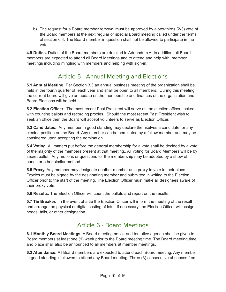b) The request for a Board member removal must be approved by a two-thirds (2/3) vote of the Board members at the next regular or special Board meeting called under the terms of section 6.4. The Board member in question shall not be allowed to participate in the vote.

**4.9 Duties.** Duties of the Board members are detailed in Addendum A. In addition, all Board members are expected to attend all Board Meetings and to attend and help with member meetings including mingling with members and helping with sign-in.

## Article 5 - Annual Meeting and Elections

<span id="page-10-0"></span>**5.1 Annual Meeting.** Per Section 3.3 an annual business meeting of the organization shall be held in the fourth quarter of each year and shall be open to all members. During this meeting the current board will give an update on the membership and finances of the organization and Board Elections will be held.

**5.2 Election Officer.** The most recent Past President will serve as the election officer, tasked with counting ballots and recording proxies. Should the most recent Past President wish to seek an office then the Board will accept volunteers to serve as Election Officer.

**5.3 Candidates.** Any member in good standing may declare themselves a candidate for any elected position on the Board. Any member can be nominated by a fellow member and may be considered upon accepting the nomination.

**5.4 Voting.** All matters put before the general membership for a vote shall be decided by a vote of the majority of the members present at that meeting.. All voting for Board Members will be by secret ballot. Any motions or questions for the membership may be adopted by a show of hands or other similar method.

**5.5 Proxy.** Any member may designate another member as a proxy to vote in their place. Proxies must be signed by the designating member and submitted in writing to the Election Officer prior to the start of the meeting. The Election Officer must make all designees aware of their proxy vote.

**5.6 Results.** The Election Officer will count the ballots and report on the results.

**5.7 Tie Breaker.** In the event of a tie the Election Officer will inform the meeting of the result and arrange the physical or digital casting of lots. If necessary, the Election Officer will assign heads, tails, or other designation.

## Article 6 - Board Meetings

<span id="page-10-1"></span>**6.1 Monthly Board Meetings.** A Board meeting notice and tentative agenda shall be given to Board members at least one (1) week prior to the Board meeting time. The Board meeting time and place shall also be announced to all members at member meetings.

**6.2 Attendance.** All Board members are expected to attend each Board meeting. Any member in good standing is allowed to attend any Board meeting. Three (3) consecutive absences from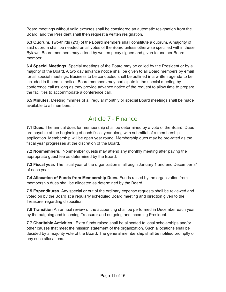Board meetings without valid excuses shall be considered an automatic resignation from the Board, and the President shall then request a written resignation.

**6.3 Quorum.** Two-thirds (2/3) of the Board members shall constitute a quorum. A majority of said quorum shall be needed on all votes of the Board unless otherwise specified within these Bylaws. Board members may attend by written proxy signed and given to another Board member.

**6.4 Special Meetings.** Special meetings of the Board may be called by the President or by a majority of the Board. A two day advance notice shall be given to all Board members by email for all special meetings. Business to be conducted shall be outlined in a written agenda to be included in the email notice. Board members may participate in the special meeting by conference call as long as they provide advance notice of the request to allow time to prepare the facilities to accommodate a conference call.

<span id="page-11-0"></span>**6.5 Minutes.** Meeting minutes of all regular monthly or special Board meetings shall be made available to all members. .

### Article 7 - Finance

**7.1 Dues.** The annual dues for membership shall be determined by a vote of the Board. Dues are payable at the beginning of each fiscal year along with submittal of a membership application. Membership will be open year round. Membership dues may be pro-rated as the fiscal year progresses at the discretion of the Board.

**7.2 Nonmembers.** Nonmember guests may attend any monthly meeting after paying the appropriate guest fee as determined by the Board.

**7.3 Fiscal year.** The fiscal year of the organization shall begin January 1 and end December 31 of each year.

**7.4 Allocation of Funds from Membership Dues.** Funds raised by the organization from membership dues shall be allocated as determined by the Board.

**7.5 Expenditures.** Any special or out of the ordinary expense requests shall be reviewed and voted on by the Board at a regularly scheduled Board meeting and direction given to the Treasurer regarding disposition.

**7.6 Transition** An annual review of the accounting shall be performed in December each year by the outgoing and incoming Treasurer and outgoing and incoming President.

**7.7 Charitable Activities.** Extra funds raised shall be allocated to local scholarships and/or other causes that meet the mission statement of the organization. Such allocations shall be decided by a majority vote of the Board. The general membership shall be notified promptly of any such allocations.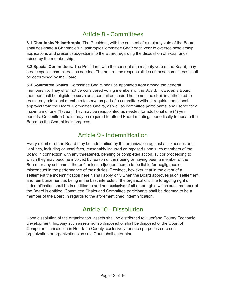### Article 8 - Committees

<span id="page-12-0"></span>**8.1 Charitable/Philanthropic.** The President, with the consent of a majority vote of the Board, shall designate a Charitable/Philanthropic Committee Chair each year to oversee scholarship applications and present suggestions to the Board regarding the disposition of extra funds raised by the membership.

**8.2 Special Committees.** The President, with the consent of a majority vote of the Board, may create special committees as needed. The nature and responsibilities of these committees shall be determined by the Board.

**8.3 Committee Chairs.** Committee Chairs shall be appointed from among the general membership. They shall not be considered voting members of the Board. However, a Board member shall be eligible to serve as a committee chair. The committee chair is authorized to recruit any additional members to serve as part of a committee without requiring additional approval from the Board. Committee Chairs, as well as committee participants, shall serve for a maximum of one (1) year. They may be reappointed as needed for additional one (1) year periods. Committee Chairs may be required to attend Board meetings periodically to update the Board on the Committee's progress.

### Article 9 - Indemnification

<span id="page-12-1"></span>Every member of the Board may be indemnified by the organization against all expenses and liabilities, including counsel fees, reasonably incurred or imposed upon such members of the Board in connection with any threatened, pending or completed action, suit or proceeding to which they may become involved by reason of their being or having been a member of the Board, or any settlement thereof, unless adjudged therein to be liable for negligence or misconduct in the performance of their duties. Provided, however, that in the event of a settlement the indemnification herein shall apply only when the Board approves such settlement and reimbursement as being in the best interests of the organization. The foregoing right of indemnification shall be in addition to and not exclusive of all other rights which such member of the Board is entitled. Committee Chairs and Committee participants shall be deemed to be a member of the Board in regards to the aforementioned indemnification.

### Article 10 - Dissolution

<span id="page-12-2"></span>Upon dissolution of the organization, assets shall be distributed to Huerfano County Economic Development, Inc. Any such assets not so disposed of shall be disposed of the Court of Competent Jurisdiction in Huerfano County, exclusively for such purposes or to such organization or organizations as said Court shall determine.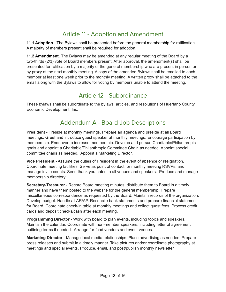## Article 11 - Adoption and Amendment

<span id="page-13-0"></span>**11.1 Adoption.** The Bylaws shall be presented before the general membership for ratification. A majority of members present shall be required for adoption.

**11.2 Amendment.** The Bylaws may be amended at any regular meeting of the Board by a two-thirds (2/3) vote of Board members present. After approval, the amendment(s) shall be presented for ratification by a majority of the general membership who are present in person or by proxy at the next monthly meeting. A copy of the amended Bylaws shall be emailed to each member at least one week prior to the monthly meeting. A written proxy shall be attached to the email along with the Bylaws to allow for voting by members unable to attend the meeting.

### Article 12 - Subordinance

<span id="page-13-1"></span>These bylaws shall be subordinate to the bylaws, articles, and resolutions of Huerfano County Economic Development, Inc.

## Addendum A - Board Job Descriptions

**President** - Preside at monthly meetings. Prepare an agenda and preside at all Board meetings. Greet and introduce guest speaker at monthly meetings. Encourage participation by membership. Endeavor to increase membership. Develop and pursue Charitable/Philanthropic goals and appoint a Charitable/Philanthropic Committee Chair, as needed. Appoint special committee chairs as needed. Appoint a Marketing Director.

**Vice President** - Assume the duties of President in the event of absence or resignation. Coordinate meeting facilities. Serve as point of contact for monthly meeting RSVPs, and manage invite counts. Send thank you notes to all venues and speakers. Produce and manage membership directory.

**Secretary-Treasurer** - Record Board meeting minutes, distribute them to Board in a timely manner and have them posted to the website for the general membership. Prepare miscellaneous correspondence as requested by the Board. Maintain records of the organization. Develop budget. Handle all AR/AP. Reconcile bank statements and prepare financial statement for Board. Coordinate check-in table at monthly meetings and collect guest fees. Process credit cards and deposit checks/cash after each meeting.

**Programming Director** - Work with board to plan events, including topics and speakers. Maintain the calendar. Coordinate with non-member speakers, including letter of agreement outlining terms if needed. Arrange for food vendors and event venues.

**Marketing Director** - Manage local media relationships. Place advertising as needed. Prepare press releases and submit in a timely manner. Take pictures and/or coordinate photography at meetings and special events. Produce, email, and post/publish monthly newsletter.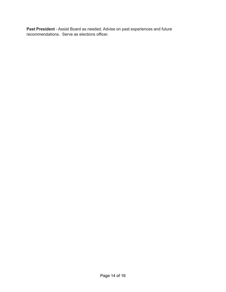**Past President** - Assist Board as needed. Advise on past experiences and future recommendations. Serve as elections officer.